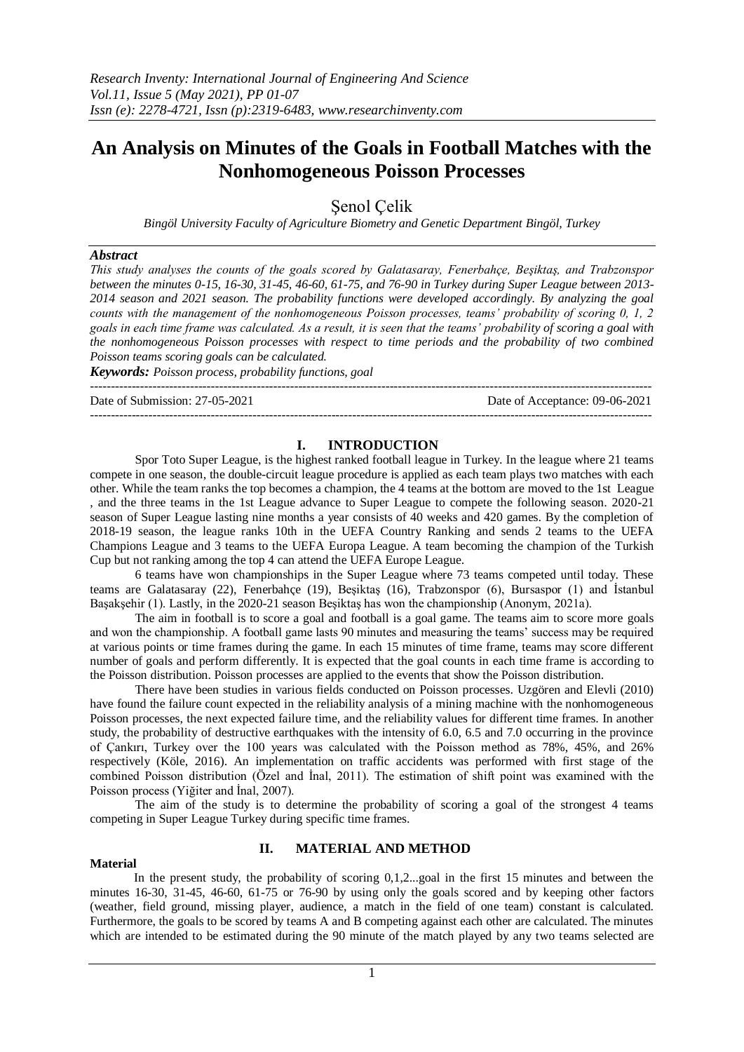# **An Analysis on Minutes of the Goals in Football Matches with the Nonhomogeneous Poisson Processes**

Şenol Çelik

*Bingöl University Faculty of Agriculture Biometry and Genetic Department Bingöl, Turkey*

## *Abstract*

*This study analyses the counts of the goals scored by Galatasaray, Fenerbahçe, Beşiktaş, and Trabzonspor between the minutes 0-15, 16-30, 31-45, 46-60, 61-75, and 76-90 in Turkey during Super League between 2013- 2014 season and 2021 season. The probability functions were developed accordingly. By analyzing the goal counts with the management of the nonhomogeneous Poisson processes, teams' probability of scoring 0, 1, 2 goals in each time frame was calculated. As a result, it is seen that the teams' probability of scoring a goal with the nonhomogeneous Poisson processes with respect to time periods and the probability of two combined Poisson teams scoring goals can be calculated.* 

*Keywords: Poisson process, probability functions, goal*

Date of Submission: 27-05-2021 Date of Acceptance: 09-06-2021

# **I. INTRODUCTION**

---------------------------------------------------------------------------------------------------------------------------------------

---------------------------------------------------------------------------------------------------------------------------------------

Spor Toto Super League, is [the highest ranked](https://tr.wikipedia.org/wiki/T%C3%BCrk_futbolunda_lig_sistemi) [football league](https://tr.wikipedia.org/wiki/Futbol) in [Turkey.](https://tr.wikipedia.org/wiki/T%C3%BCrkiye) In the league where 21 teams compete in one season[, the double-circuit league procedure](https://tr.wikipedia.org/wiki/Lig_usul%C3%BC_turnuva) is applied as each team plays two matches with each other. While the team ranks the top becomes a champion, the 4 teams at the bottom are [moved](https://tr.wikipedia.org/wiki/D%C3%BC%C5%9Fme_ve_y%C3%BCkselme) to th[e 1st League](https://tr.wikipedia.org/wiki/1._Lig) , and the three teams in the 1st League advance to Super League to compete the following season. 2020-21 season of Super League lasting nine months a year consists of 40 weeks and 420 games. By the completion of 2018-19 season, the league ranks 10th in the [UEFA Country Ranking](https://tr.wikipedia.org/wiki/2019_UEFA_%C3%BClkeler_s%C4%B1ralamas%C4%B1) and sends 2 teams to the [UEFA](https://tr.wikipedia.org/wiki/UEFA_%C5%9Eampiyonlar_Ligi)  [Champions League](https://tr.wikipedia.org/wiki/UEFA_%C5%9Eampiyonlar_Ligi) and 3 teams to the [UEFA Europa League.](https://tr.wikipedia.org/wiki/UEFA_Avrupa_Ligi) A team becoming the champion of the [Turkish](https://tr.wikipedia.org/wiki/T%C3%BCrkiye_Kupas%C4%B1)  [Cup](https://tr.wikipedia.org/wiki/T%C3%BCrkiye_Kupas%C4%B1) but not ranking among the top 4 can attend the UEFA Europe League.

6 teams have won championships in the Super League where 73 teams competed until today. These teams are [Galatasaray](https://tr.wikipedia.org/wiki/Galatasaray_(futbol_tak%C4%B1m%C4%B1)) (22), [Fenerbahçe](https://tr.wikipedia.org/wiki/Fenerbah%C3%A7e_(futbol_tak%C4%B1m%C4%B1)) (19), [Beşiktaş](https://tr.wikipedia.org/wiki/Be%C5%9Fikta%C5%9F_(futbol_tak%C4%B1m%C4%B1)) (16), [Trabzonspor](https://tr.wikipedia.org/wiki/Trabzonspor_(futbol_tak%C4%B1m%C4%B1)) (6), Bursaspor (1) and İstanbul Başakşehir (1). Lastly, [in the 2020-21 season](https://tr.wikipedia.org/wiki/2020-21_S%C3%BCper_Lig) Beşiktaş has won the championship (Anonym, 2021a).

The aim in football is to score a goal and football is a goal game. The teams aim to score more goals and won the championship. A football game lasts 90 minutes and measuring the teams' success may be required at various points or time frames during the game. In each 15 minutes of time frame, teams may score different number of goals and perform differently. It is expected that the goal counts in each time frame is according to the Poisson distribution. Poisson processes are applied to the events that show the Poisson distribution.

There have been studies in various fields conducted on Poisson processes. Uzgören and Elevli (2010) have found the failure count expected in the reliability analysis of a mining machine with the nonhomogeneous Poisson processes, the next expected failure time, and the reliability values for different time frames. In another study, the probability of destructive earthquakes with the intensity of 6.0, 6.5 and 7.0 occurring in the province of Çankırı, Turkey over the 100 years was calculated with the Poisson method as 78%, 45%, and 26% respectively (Köle, 2016). An implementation on traffic accidents was performed with first stage of the combined Poisson distribution (Özel and İnal, 2011). The estimation of shift point was examined with the Poisson process (Yiğiter and İnal, 2007).

The aim of the study is to determine the probability of scoring a goal of the strongest 4 teams competing in Super League Turkey during specific time frames.

## **Material**

# **II. MATERIAL AND METHOD**

In the present study, the probability of scoring 0,1,2...goal in the first 15 minutes and between the minutes 16-30, 31-45, 46-60, 61-75 or 76-90 by using only the goals scored and by keeping other factors (weather, field ground, missing player, audience, a match in the field of one team) constant is calculated. Furthermore, the goals to be scored by teams A and B competing against each other are calculated. The minutes which are intended to be estimated during the 90 minute of the match played by any two teams selected are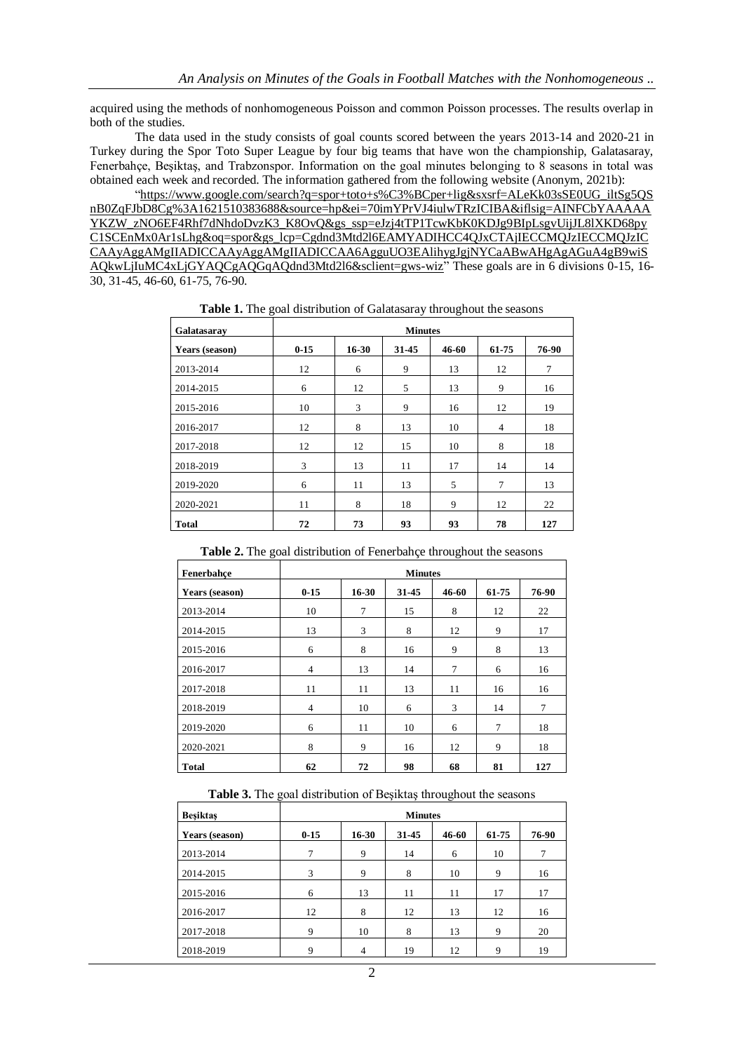acquired using the methods of nonhomogeneous Poisson and common Poisson processes. The results overlap in both of the studies.

The data used in the study consists of goal counts scored between the years 2013-14 and 2020-21 in Turkey during the Spor Toto Super League by four big teams that have won the championship, Galatasaray, Fenerbahçe, Beşiktaş, and Trabzonspor. Information on the goal minutes belonging to 8 seasons in total was obtained each week and recorded. The information gathered from the following website (Anonym, 2021b):

["https://www.google.com/search?q=spor+toto+s%C3%BCper+lig&sxsrf=ALeKk03sSE0UG\\_iltSg5QS](https://www.google.com/search?q=spor+toto+s%C3%BCper+lig&sxsrf=ALeKk03sSE0UG_iltSg5QSnB0ZqFJbD8Cg%3A1621510383688&source=hp&ei=70imYPrVJ4iulwTRzICIBA&iflsig=AINFCbYAAAAAYKZW_zNO6EF4Rhf7dNhdoDvzK3_K8OvQ&gs_ssp=eJzj4tTP1TcwKbK0KDJg9BIpLsgvUijJL8lXKD68pyC1SCEnMx0Ar1sLhg&oq=spor&gs_lcp=Cgdnd3Mtd2l6EAMYADIHCC4QJxCTAjIECCMQJzIECCMQJzICCAAyAggAMgIIADICCAAyAggAMgIIADICCAA6AgguUO3EAlihygJgjNYCaABwAHgAgAGuA4gB9wiSAQkwLjIuMC4xLjGYAQCgAQGqAQdnd3Mtd2l6&sclient=gws-wiz) [nB0ZqFJbD8Cg%3A1621510383688&source=hp&ei=70imYPrVJ4iulwTRzICIBA&iflsig=AINFCbYAAAAA](https://www.google.com/search?q=spor+toto+s%C3%BCper+lig&sxsrf=ALeKk03sSE0UG_iltSg5QSnB0ZqFJbD8Cg%3A1621510383688&source=hp&ei=70imYPrVJ4iulwTRzICIBA&iflsig=AINFCbYAAAAAYKZW_zNO6EF4Rhf7dNhdoDvzK3_K8OvQ&gs_ssp=eJzj4tTP1TcwKbK0KDJg9BIpLsgvUijJL8lXKD68pyC1SCEnMx0Ar1sLhg&oq=spor&gs_lcp=Cgdnd3Mtd2l6EAMYADIHCC4QJxCTAjIECCMQJzIECCMQJzICCAAyAggAMgIIADICCAAyAggAMgIIADICCAA6AgguUO3EAlihygJgjNYCaABwAHgAgAGuA4gB9wiSAQkwLjIuMC4xLjGYAQCgAQGqAQdnd3Mtd2l6&sclient=gws-wiz) [YKZW\\_zNO6EF4Rhf7dNhdoDvzK3\\_K8OvQ&gs\\_ssp=eJzj4tTP1TcwKbK0KDJg9BIpLsgvUijJL8lXKD68py](https://www.google.com/search?q=spor+toto+s%C3%BCper+lig&sxsrf=ALeKk03sSE0UG_iltSg5QSnB0ZqFJbD8Cg%3A1621510383688&source=hp&ei=70imYPrVJ4iulwTRzICIBA&iflsig=AINFCbYAAAAAYKZW_zNO6EF4Rhf7dNhdoDvzK3_K8OvQ&gs_ssp=eJzj4tTP1TcwKbK0KDJg9BIpLsgvUijJL8lXKD68pyC1SCEnMx0Ar1sLhg&oq=spor&gs_lcp=Cgdnd3Mtd2l6EAMYADIHCC4QJxCTAjIECCMQJzIECCMQJzICCAAyAggAMgIIADICCAAyAggAMgIIADICCAA6AgguUO3EAlihygJgjNYCaABwAHgAgAGuA4gB9wiSAQkwLjIuMC4xLjGYAQCgAQGqAQdnd3Mtd2l6&sclient=gws-wiz) [C1SCEnMx0Ar1sLhg&oq=spor&gs\\_lcp=Cgdnd3Mtd2l6EAMYADIHCC4QJxCTAjIECCMQJzIECCMQJzIC](https://www.google.com/search?q=spor+toto+s%C3%BCper+lig&sxsrf=ALeKk03sSE0UG_iltSg5QSnB0ZqFJbD8Cg%3A1621510383688&source=hp&ei=70imYPrVJ4iulwTRzICIBA&iflsig=AINFCbYAAAAAYKZW_zNO6EF4Rhf7dNhdoDvzK3_K8OvQ&gs_ssp=eJzj4tTP1TcwKbK0KDJg9BIpLsgvUijJL8lXKD68pyC1SCEnMx0Ar1sLhg&oq=spor&gs_lcp=Cgdnd3Mtd2l6EAMYADIHCC4QJxCTAjIECCMQJzIECCMQJzICCAAyAggAMgIIADICCAAyAggAMgIIADICCAA6AgguUO3EAlihygJgjNYCaABwAHgAgAGuA4gB9wiSAQkwLjIuMC4xLjGYAQCgAQGqAQdnd3Mtd2l6&sclient=gws-wiz) [CAAyAggAMgIIADICCAAyAggAMgIIADICCAA6AgguUO3EAlihygJgjNYCaABwAHgAgAGuA4gB9wiS](https://www.google.com/search?q=spor+toto+s%C3%BCper+lig&sxsrf=ALeKk03sSE0UG_iltSg5QSnB0ZqFJbD8Cg%3A1621510383688&source=hp&ei=70imYPrVJ4iulwTRzICIBA&iflsig=AINFCbYAAAAAYKZW_zNO6EF4Rhf7dNhdoDvzK3_K8OvQ&gs_ssp=eJzj4tTP1TcwKbK0KDJg9BIpLsgvUijJL8lXKD68pyC1SCEnMx0Ar1sLhg&oq=spor&gs_lcp=Cgdnd3Mtd2l6EAMYADIHCC4QJxCTAjIECCMQJzIECCMQJzICCAAyAggAMgIIADICCAAyAggAMgIIADICCAA6AgguUO3EAlihygJgjNYCaABwAHgAgAGuA4gB9wiSAQkwLjIuMC4xLjGYAQCgAQGqAQdnd3Mtd2l6&sclient=gws-wiz) [AQkwLjIuMC4xLjGYAQCgAQGqAQdnd3Mtd2l6&sclient=gws-wiz"](https://www.google.com/search?q=spor+toto+s%C3%BCper+lig&sxsrf=ALeKk03sSE0UG_iltSg5QSnB0ZqFJbD8Cg%3A1621510383688&source=hp&ei=70imYPrVJ4iulwTRzICIBA&iflsig=AINFCbYAAAAAYKZW_zNO6EF4Rhf7dNhdoDvzK3_K8OvQ&gs_ssp=eJzj4tTP1TcwKbK0KDJg9BIpLsgvUijJL8lXKD68pyC1SCEnMx0Ar1sLhg&oq=spor&gs_lcp=Cgdnd3Mtd2l6EAMYADIHCC4QJxCTAjIECCMQJzIECCMQJzICCAAyAggAMgIIADICCAAyAggAMgIIADICCAA6AgguUO3EAlihygJgjNYCaABwAHgAgAGuA4gB9wiSAQkwLjIuMC4xLjGYAQCgAQGqAQdnd3Mtd2l6&sclient=gws-wiz) These goals are in 6 divisions 0-15, 16- 30, 31-45, 46-60, 61-75, 76-90.

| Galatasaray    |          |       |       |       |                |       |
|----------------|----------|-------|-------|-------|----------------|-------|
| Years (season) | $0 - 15$ | 16-30 | 31-45 | 46-60 | 61-75          | 76-90 |
| 2013-2014      | 12       | 6     | 9     | 13    | 12             | 7     |
| 2014-2015      | 6        | 12    | 5     | 13    | 9              | 16    |
| 2015-2016      | 10       | 3     | 9     | 16    | 12             | 19    |
| 2016-2017      | 12       | 8     | 13    | 10    | $\overline{4}$ | 18    |
| 2017-2018      | 12       | 12    | 15    | 10    | 8              | 18    |
| 2018-2019      | 3        | 13    | 11    | 17    | 14             | 14    |
| 2019-2020      | 6        | 11    | 13    | 5     | 7              | 13    |
| 2020-2021      | 11       | 8     | 18    | 9     | 12             | 22    |
| <b>Total</b>   | 72       | 73    | 93    | 93    | 78             | 127   |

**Table 1.** The goal distribution of Galatasaray throughout the seasons

| Table 2. The goal distribution of Fenerbahçe throughout the seasons |  |
|---------------------------------------------------------------------|--|
|---------------------------------------------------------------------|--|

| Fenerbahce     | <b>Minutes</b> |           |       |       |       |       |
|----------------|----------------|-----------|-------|-------|-------|-------|
| Years (season) | $0 - 15$       | $16 - 30$ | 31-45 | 46-60 | 61-75 | 76-90 |
| 2013-2014      | 10             | 7         | 15    | 8     | 12    | 22    |
| 2014-2015      | 13             | 3         | 8     | 12    | 9     | 17    |
| 2015-2016      | 6              | 8         | 16    | 9     | 8     | 13    |
| 2016-2017      | $\overline{4}$ | 13        | 14    | 7     | 6     | 16    |
| 2017-2018      | 11             | 11        | 13    | 11    | 16    | 16    |
| 2018-2019      | $\overline{4}$ | 10        | 6     | 3     | 14    | 7     |
| 2019-2020      | 6              | 11        | 10    | 6     | 7     | 18    |
| 2020-2021      | 8              | 9         | 16    | 12    | 9     | 18    |
| <b>Total</b>   | 62             | 72        | 98    | 68    | 81    | 127   |

| Table 3. The goal distribution of Beşiktaş throughout the seasons |  |  |
|-------------------------------------------------------------------|--|--|
|                                                                   |  |  |

| <b>Besiktas</b> | <b>Minutes</b> |           |       |       |       |       |  |  |
|-----------------|----------------|-----------|-------|-------|-------|-------|--|--|
| Years (season)  | $0 - 15$       | $16 - 30$ | 31-45 | 46-60 | 61-75 | 76-90 |  |  |
| 2013-2014       | 7              | 9         | 14    | 6     | 10    | 7     |  |  |
| 2014-2015       | 3              | 9         | 8     | 10    | 9     | 16    |  |  |
| 2015-2016       | 6              | 13        | 11    | 11    | 17    | 17    |  |  |
| 2016-2017       | 12             | 8         | 12    | 13    | 12    | 16    |  |  |
| 2017-2018       | 9              | 10        | 8     | 13    | 9     | 20    |  |  |
| 2018-2019       | 9              | 4         | 19    | 12    | 9     | 19    |  |  |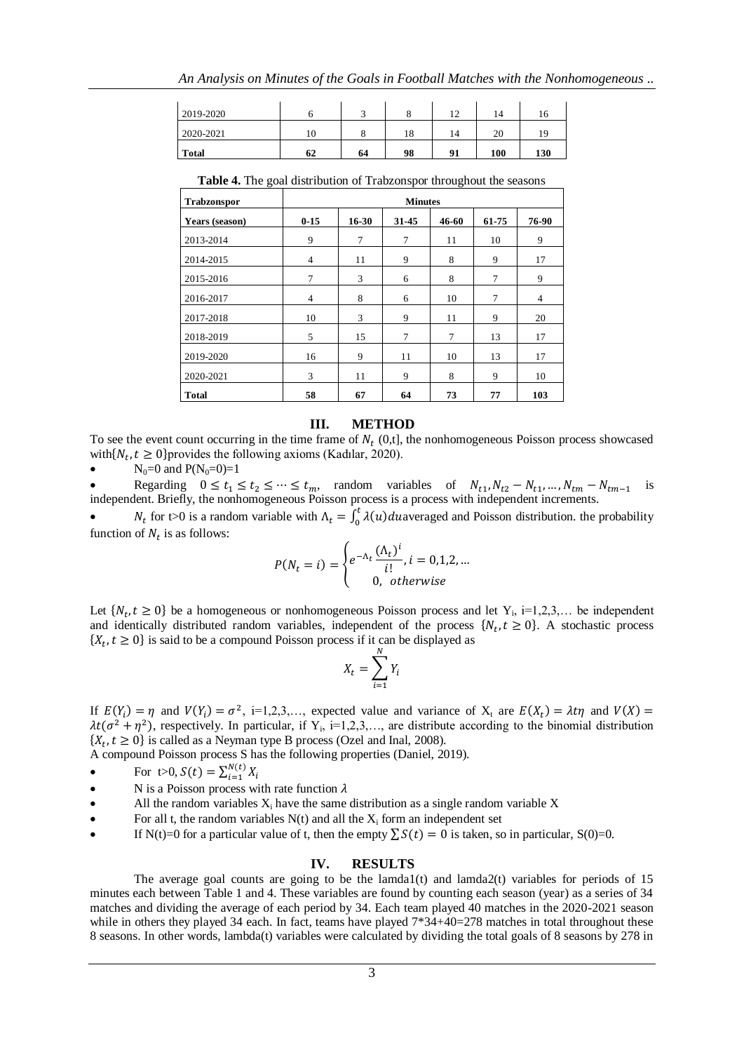| 2019-2020    |    |    |    | 1 ^<br>∸ | 14  | 10  |
|--------------|----|----|----|----------|-----|-----|
| 2020-2021    | 10 |    | 18 | 14       | 20  | 19  |
| <b>Total</b> | 62 | 64 | 98 | 91       | 100 | 130 |

**Table 4.** The goal distribution of Trabzonspor throughout the seasons

| <b>Trabzonspor</b> | <b>Minutes</b> |                |       |        |       |                |
|--------------------|----------------|----------------|-------|--------|-------|----------------|
| Years (season)     | $0 - 15$       | $16 - 30$      | 31-45 | 46-60  | 61-75 | 76-90          |
| 2013-2014          | 9              | $\overline{7}$ | 7     | 11     | 10    | 9              |
| 2014-2015          | $\overline{4}$ | 11             | 9     | 8      | 9     | 17             |
| 2015-2016          | 7              | 3              | 6     | 8      | 7     | 9              |
| 2016-2017          | 4              | 8              | 6     | 10     | 7     | $\overline{4}$ |
| 2017-2018          | 10             | 3              | 9     | 11     | 9     | 20             |
| 2018-2019          | 5              | 15             | 7     | $\tau$ | 13    | 17             |
| 2019-2020          | 16             | 9              | 11    | 10     | 13    | 17             |
| 2020-2021          | 3              | 11             | 9     | 8      | 9     | 10             |
| <b>Total</b>       | 58             | 67             | 64    | 73     | 77    | 103            |

#### **III. METHOD**

To see the event count occurring in the time frame of  $N_t$  (0,t], the nonhomogeneous Poisson process showcased with  $\{N_t, t \ge 0\}$  provides the following axioms (Kadılar, 2020).

 $N_0=0$  and  $P(N_0=0)=1$ 

• Regarding  $0 \le t_1 \le t_2 \le \dots \le t_m$ , random variables of  $N_{t_1}, N_{t_2} - N_{t_1}, \dots, N_{t_m} - N_{t_{m-1}}$  is independent. Briefly, the nonhomogeneous Poisson process is a process with independent increments.

•  $N_t$  for t>0 is a random variable with  $\Lambda_t = \int_0^t \lambda(u) du$  averaged and Poisson distribution. the probability function of  $N_t$  is as follows:

$$
P(N_t = i) = \begin{cases} e^{-\Lambda_t} \frac{(\Lambda_t)^i}{i!}, i = 0, 1, 2, ... \\ 0, \text{ otherwise} \end{cases}
$$

Let  $\{N_t, t \geq 0\}$  be a homogeneous or nonhomogeneous Poisson process and let  $Y_i$ , i=1,2,3,... be independent and identically distributed random variables, independent of the process  $\{N_t, t \geq 0\}$ . A stochastic process  $\{X_t, t \geq 0\}$  is said to be a compound Poisson process if it can be displayed as

$$
X_t = \sum_{i=1}^N Y_i
$$

If  $E(Y_i) = \eta$  and  $V(Y_i) = \sigma^2$ , i=1,2,3,..., expected value and variance of  $X_i$  are  $E(X_i) = \lambda t \eta$  and V  $\lambda t(\sigma^2 + \eta^2)$ , respectively. In particular, if Y<sub>i</sub>, i=1,2,3,..., are distribute according to the binomial distribution  $\{X_t, t \geq 0\}$  is called as a Neyman type B process (Ozel and Inal, 2008).

A compound Poisson process S has the following properties (Daniel, 2019).

- For  $t>0$ ,  $S(t) = \sum_{i=1}^{N}$ i
- N is a Poisson process with rate function  $\lambda$
- All the random variables  $X_i$  have the same distribution as a single random variable  $X$
- For all t, the random variables  $N(t)$  and all the  $X_i$  form an independent set
- If N(t)=0 for a particular value of t, then the empty  $\sum S(t) = 0$  is taken, so in particular, S(0)=0.

## **IV. RESULTS**

The average goal counts are going to be the lamda1(t) and lamda2(t) variables for periods of  $15$ minutes each between Table 1 and 4. These variables are found by counting each season (year) as a series of 34 matches and dividing the average of each period by 34. Each team played 40 matches in the 2020-2021 season while in others they played 34 each. In fact, teams have played  $7*34+40=278$  matches in total throughout these 8 seasons. In other words, lambda(t) variables were calculated by dividing the total goals of 8 seasons by 278 in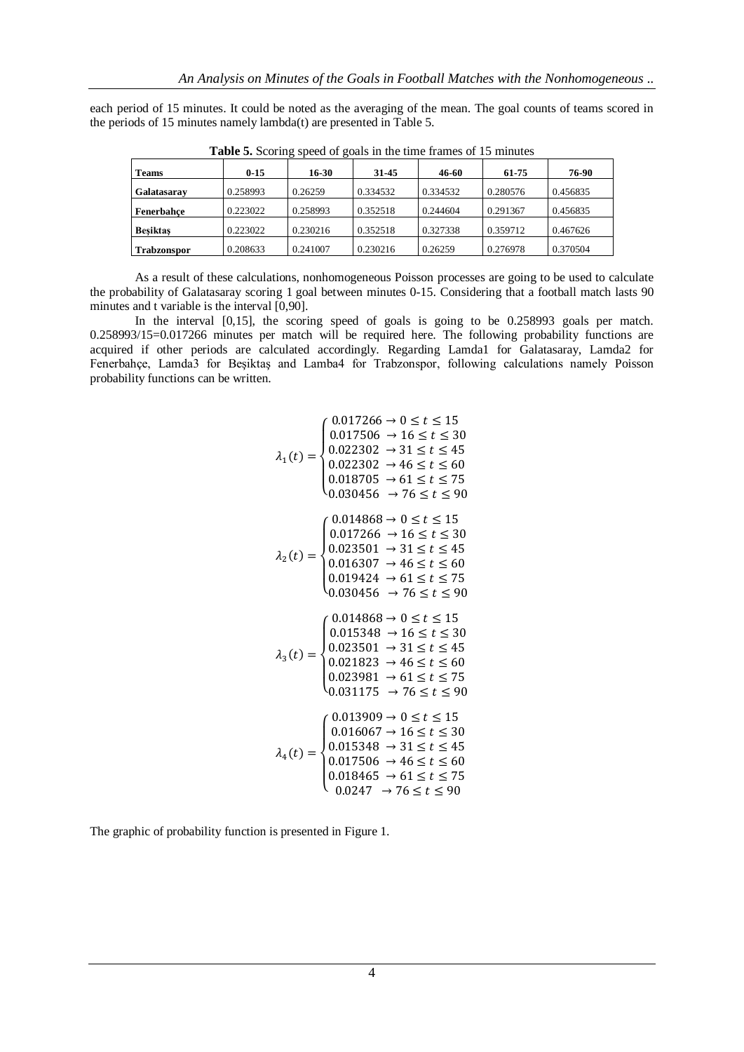each period of 15 minutes. It could be noted as the averaging of the mean. The goal counts of teams scored in the periods of 15 minutes namely lambda(t) are presented in Table 5.

| <b>Teams</b>       | $0 - 15$ | 16-30    | 31-45    | 46-60    | 61-75    | 76-90    |
|--------------------|----------|----------|----------|----------|----------|----------|
| Galatasaray        | 0.258993 | 0.26259  | 0.334532 | 0.334532 | 0.280576 | 0.456835 |
| Fenerbahce         | 0.223022 | 0.258993 | 0.352518 | 0.244604 | 0.291367 | 0.456835 |
| <b>Besiktas</b>    | 0.223022 | 0.230216 | 0.352518 | 0.327338 | 0.359712 | 0.467626 |
| <b>Trabzonspor</b> | 0.208633 | 0.241007 | 0.230216 | 0.26259  | 0.276978 | 0.370504 |

**Table 5.** Scoring speed of goals in the time frames of 15 minutes

As a result of these calculations, nonhomogeneous Poisson processes are going to be used to calculate the probability of Galatasaray scoring 1 goal between minutes 0-15. Considering that a football match lasts 90 minutes and t variable is the interval [0,90].

In the interval [0,15], the scoring speed of goals is going to be 0.258993 goals per match. 0.258993/15=0.017266 minutes per match will be required here. The following probability functions are acquired if other periods are calculated accordingly. Regarding Lamda1 for Galatasaray, Lamda2 for Fenerbahçe, Lamda3 for Beşiktaş and Lamba4 for Trabzonspor, following calculations namely Poisson probability functions can be written.

$$
\lambda_1(t) = \begin{cases}\n0.017266 \rightarrow 0 \le t \le 15 \\
0.017506 \rightarrow 16 \le t \le 30 \\
0.022302 \rightarrow 31 \le t \le 45 \\
0.022302 \rightarrow 46 \le t \le 60 \\
0.018705 \rightarrow 61 \le t \le 75 \\
0.030456 \rightarrow 76 \le t \le 90\n\end{cases}
$$
\n
$$
\lambda_2(t) = \begin{cases}\n0.014868 \rightarrow 0 \le t \le 15 \\
0.017266 \rightarrow 16 \le t \le 30 \\
0.023501 \rightarrow 31 \le t \le 45 \\
0.016307 \rightarrow 46 \le t \le 60 \\
0.019424 \rightarrow 61 \le t \le 75 \\
0.030456 \rightarrow 76 \le t \le 90\n\end{cases}
$$
\n
$$
\lambda_3(t) = \begin{cases}\n0.014868 \rightarrow 0 \le t \le 15 \\
0.015348 \rightarrow 16 \le t \le 30 \\
0.023501 \rightarrow 31 \le t \le 45 \\
0.0223501 \rightarrow 31 \le t \le 45 \\
0.0223981 \rightarrow 61 \le t \le 75 \\
0.031175 \rightarrow 76 \le t \le 90\n\end{cases}
$$
\n
$$
\lambda_4(t) = \begin{cases}\n0.013909 \rightarrow 0 \le t \le 15 \\
0.016067 \rightarrow 16 \le t \le 30 \\
0.015348 \rightarrow 31 \le t \le 45 \\
0.017506 \rightarrow 46 \le t \le 60 \\
0.018465 \rightarrow 61 \le t \le 75 \\
0.0247 \rightarrow 76 \le t \le 90\n\end{cases}
$$

The graphic of probability function is presented in Figure 1.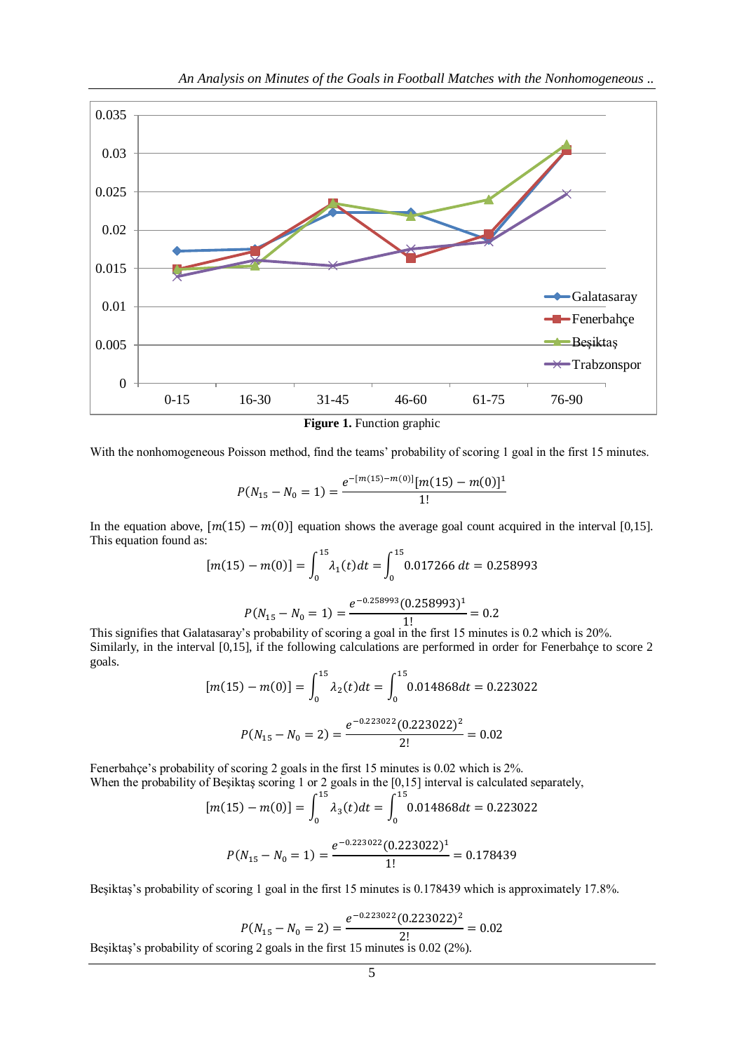

**Figure 1.** Function graphic

With the nonhomogeneous Poisson method, find the teams' probability of scoring 1 goal in the first 15 minutes.

$$
P(N_{15} - N_0 = 1) = \frac{e^{-[m(15) - m(0)]}[m(15) - m(0)]^1}{1!}
$$

In the equation above,  $[m(15) - m(0)]$  equation shows the average goal count acquired in the interval [0,15]. This equation found as:

$$
[m(15) - m(0)] = \int_0^{15} \lambda_1(t)dt = \int_0^{15} 0.017266 \, dt = 0.258993
$$

$$
P(N_{15} - N_0 = 1) = \frac{e^{-0.258993}(0.258993)^1}{1!} = 0.2
$$

This signifies that Galatasaray's probability of scoring a goal in the first 15 minutes is 0.2 which is 20%. Similarly, in the interval [0,15], if the following calculations are performed in order for Fenerbahçe to score 2 goals.

$$
[m(15) - m(0)] = \int_0^{15} \lambda_2(t)dt = \int_0^{15} 0.014868dt = 0.223022
$$

$$
P(N_{15} - N_0 = 2) = \frac{e^{-0.223022}(0.223022)^2}{2!} = 0.02
$$

Fenerbahçe's probability of scoring 2 goals in the first 15 minutes is 0.02 which is 2%. When the probability of Beşiktaş scoring 1 or 2 goals in the [0,15] interval is calculated separately,

$$
[m(15) - m(0)] = \int_0^{15} \lambda_3(t)dt = \int_0^{15} 0.014868dt = 0.223022
$$

$$
P(N_{15} - N_0 = 1) = \frac{e^{-0.223022}(0.223022)^1}{1!} = 0.178439
$$

Beşiktaş's probability of scoring 1 goal in the first 15 minutes is 0.178439 which is approximately 17.8%.

$$
P(N_{15} - N_0 = 2) = \frac{e^{-0.223022}(0.223022)^2}{2!} = 0.02
$$

Beşiktaş's probability of scoring 2 goals in the first 15 minutes is 0.02 (2%).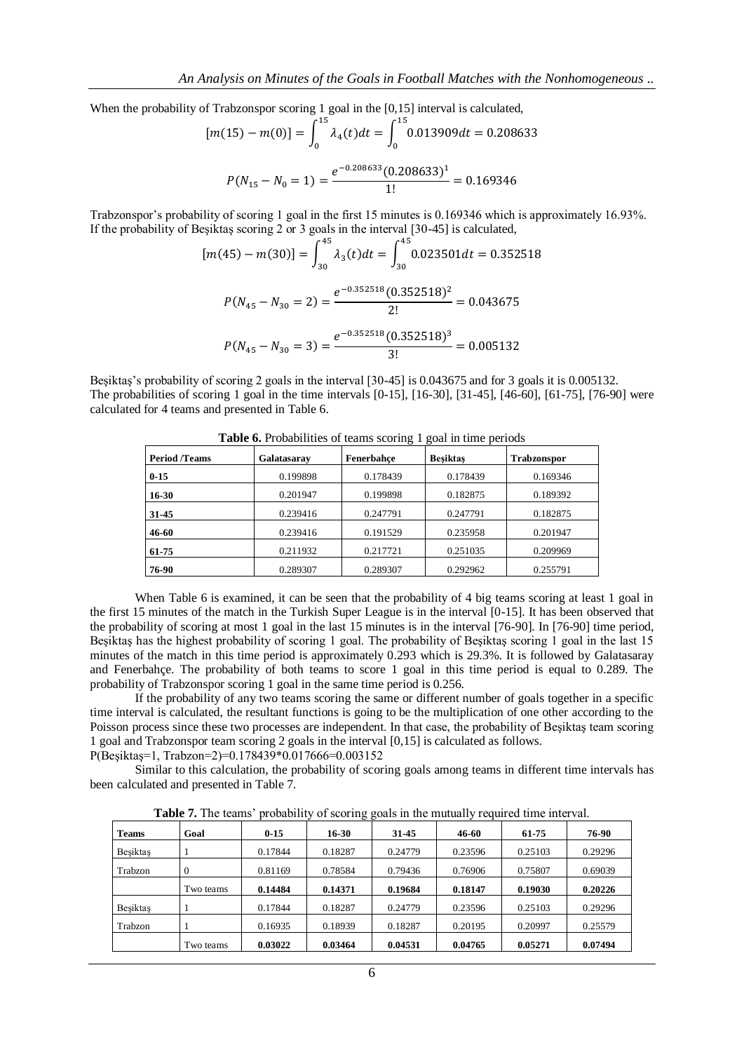When the probability of Trabzonspor scoring 1 goal in the [0,15] interval is calculated,

$$
[m(15) - m(0)] = \int_0^{13} \lambda_4(t)dt = \int_0^{13} 0.013909dt = 0.208633
$$

$$
P(N_{15} - N_0 = 1) = \frac{e^{-0.208633}(0.208633)^1}{1!} = 0.169346
$$

Trabzonspor's probability of scoring 1 goal in the first 15 minutes is 0.169346 which is approximately 16.93%. If the probability of Beşiktaş scoring 2 or 3 goals in the interval [30-45] is calculated,  $0.45$ 

$$
[m(45) - m(30)] = \int_{30}^{45} \lambda_3(t)dt = \int_{30}^{45} 0.023501dt = 0.352518
$$

$$
P(N_{45} - N_{30} = 2) = \frac{e^{-0.352518}(0.352518)^2}{2!} = 0.043675
$$

$$
P(N_{45} - N_{30} = 3) = \frac{e^{-0.352518}(0.352518)^3}{3!} = 0.005132
$$

Beşiktaş's probability of scoring 2 goals in the interval [30-45] is 0.043675 and for 3 goals it is 0.005132. The probabilities of scoring 1 goal in the time intervals [0-15], [16-30], [31-45], [46-60], [61-75], [76-90] were calculated for 4 teams and presented in Table 6.

| <b>Tuble</b> of Hobushines of teams secting 1 goal in this periods |             |            |                 |                    |  |  |  |  |
|--------------------------------------------------------------------|-------------|------------|-----------------|--------------------|--|--|--|--|
| <b>Period</b> /Teams                                               | Galatasarav | Fenerbahce | <b>Besiktas</b> | <b>Trabzonspor</b> |  |  |  |  |
| $0 - 15$                                                           | 0.199898    | 0.178439   | 0.178439        | 0.169346           |  |  |  |  |
| $16 - 30$                                                          | 0.201947    | 0.199898   | 0.182875        | 0.189392           |  |  |  |  |
| 31-45                                                              | 0.239416    | 0.247791   | 0.247791        | 0.182875           |  |  |  |  |
| 46-60                                                              | 0.239416    | 0.191529   | 0.235958        | 0.201947           |  |  |  |  |
| 61-75                                                              | 0.211932    | 0.217721   | 0.251035        | 0.209969           |  |  |  |  |
| 76-90                                                              | 0.289307    | 0.289307   | 0.292962        | 0.255791           |  |  |  |  |

**Table 6.** Probabilities of teams scoring 1 goal in time periods

When Table 6 is examined, it can be seen that the probability of 4 big teams scoring at least 1 goal in the first 15 minutes of the match in the Turkish Super League is in the interval [0-15]. It has been observed that the probability of scoring at most 1 goal in the last 15 minutes is in the interval [76-90]. In [76-90] time period, Beşiktaş has the highest probability of scoring 1 goal. The probability of Beşiktaş scoring 1 goal in the last 15 minutes of the match in this time period is approximately 0.293 which is 29.3%. It is followed by Galatasaray and Fenerbahçe. The probability of both teams to score 1 goal in this time period is equal to 0.289. The probability of Trabzonspor scoring 1 goal in the same time period is 0.256.

If the probability of any two teams scoring the same or different number of goals together in a specific time interval is calculated, the resultant functions is going to be the multiplication of one other according to the Poisson process since these two processes are independent. In that case, the probability of Beşiktaş team scoring 1 goal and Trabzonspor team scoring 2 goals in the interval [0,15] is calculated as follows. P(Beşiktaş=1, Trabzon=2)=0.178439\*0.017666=0.003152

Similar to this calculation, the probability of scoring goals among teams in different time intervals has been calculated and presented in Table 7.

| <b>Teams</b>    | Goal      | $0 - 15$ | $16 - 30$ | 31-45   | 46-60   | 61-75   | 76-90   |
|-----------------|-----------|----------|-----------|---------|---------|---------|---------|
| <b>Besiktas</b> |           | 0.17844  | 0.18287   | 0.24779 | 0.23596 | 0.25103 | 0.29296 |
| Trabzon         | 0         | 0.81169  | 0.78584   | 0.79436 | 0.76906 | 0.75807 | 0.69039 |
|                 | Two teams | 0.14484  | 0.14371   | 0.19684 | 0.18147 | 0.19030 | 0.20226 |
| <b>Besiktas</b> |           | 0.17844  | 0.18287   | 0.24779 | 0.23596 | 0.25103 | 0.29296 |
| Trabzon         |           | 0.16935  | 0.18939   | 0.18287 | 0.20195 | 0.20997 | 0.25579 |
|                 | Two teams | 0.03022  | 0.03464   | 0.04531 | 0.04765 | 0.05271 | 0.07494 |

**Table 7.** The teams' probability of scoring goals in the mutually required time interval.